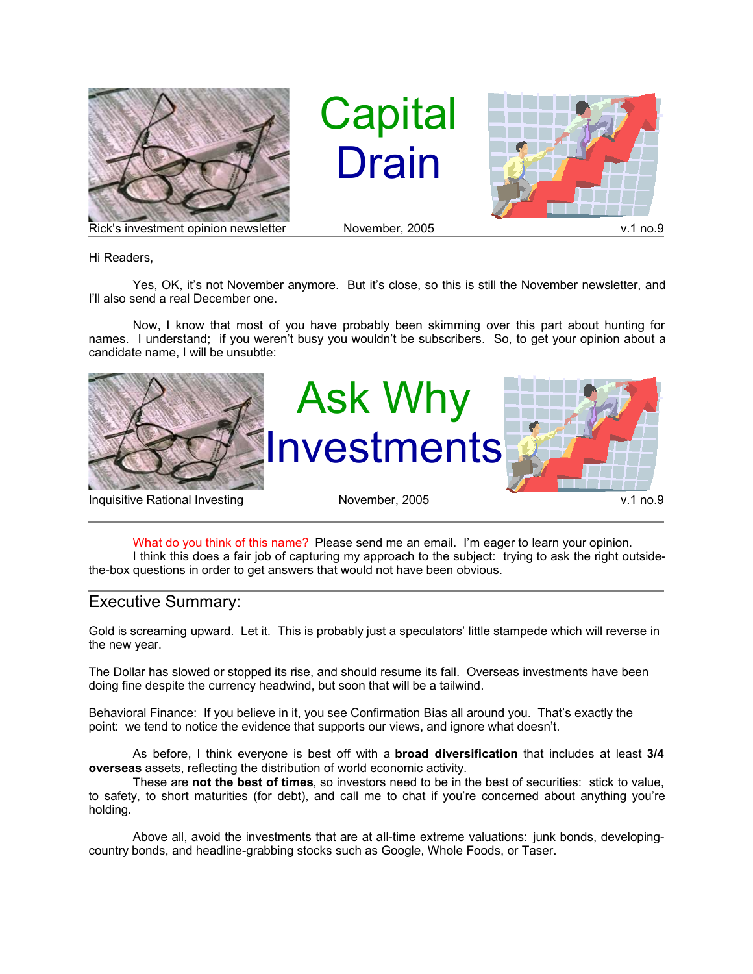

**Capital** Drain



Rick's investment opinion newsletter November, 2005 v.1 no.9

Hi Readers,

Yes, OK, it's not November anymore. But it's close, so this is still the November newsletter, and I'll also send a real December one.

Now, I know that most of you have probably been skimming over this part about hunting for names. I understand; if you weren't busy you wouldn't be subscribers. So, to get your opinion about a candidate name, I will be unsubtle:



What do you think of this name? Please send me an email. I'm eager to learn your opinion. I think this does a fair job of capturing my approach to the subject: trying to ask the right outsidethe-box questions in order to get answers that would not have been obvious.

## Executive Summary:

Gold is screaming upward. Let it. This is probably just a speculators' little stampede which will reverse in the new year.

The Dollar has slowed or stopped its rise, and should resume its fall. Overseas investments have been doing fine despite the currency headwind, but soon that will be a tailwind.

Behavioral Finance: If you believe in it, you see Confirmation Bias all around you. That's exactly the point: we tend to notice the evidence that supports our views, and ignore what doesn't.

As before, I think everyone is best off with a **broad diversification** that includes at least **3/4 overseas** assets, reflecting the distribution of world economic activity.

These are **not the best of times**, so investors need to be in the best of securities: stick to value, to safety, to short maturities (for debt), and call me to chat if you're concerned about anything you're holding.

Above all, avoid the investments that are at all-time extreme valuations: junk bonds, developingcountry bonds, and headline-grabbing stocks such as Google, Whole Foods, or Taser.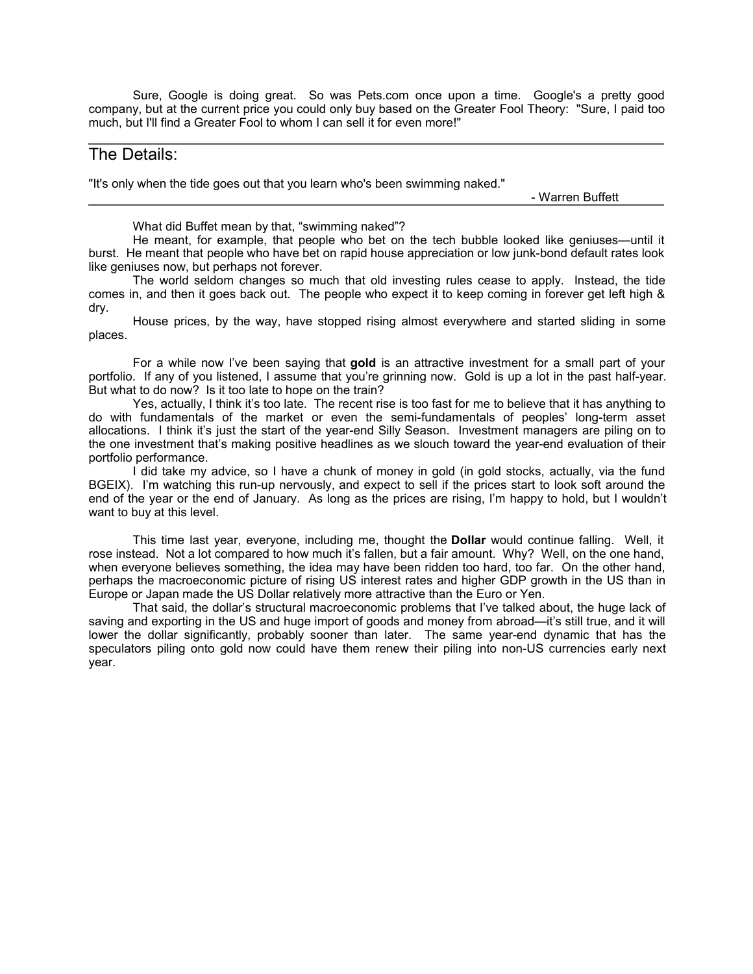Sure, Google is doing great. So was Pets.com once upon a time. Google's a pretty good company, but at the current price you could only buy based on the Greater Fool Theory: "Sure, I paid too much, but I'll find a Greater Fool to whom I can sell it for even more!"

## The Details:

"It's only when the tide goes out that you learn who's been swimming naked."

- Warren Buffett

What did Buffet mean by that, "swimming naked"?

He meant, for example, that people who bet on the tech bubble looked like geniuses—until it burst. He meant that people who have bet on rapid house appreciation or low junk-bond default rates look like geniuses now, but perhaps not forever.

The world seldom changes so much that old investing rules cease to apply. Instead, the tide comes in, and then it goes back out. The people who expect it to keep coming in forever get left high & dry.

House prices, by the way, have stopped rising almost everywhere and started sliding in some places.

For a while now I've been saying that **gold** is an attractive investment for a small part of your portfolio. If any of you listened, I assume that you're grinning now. Gold is up a lot in the past half-year. But what to do now? Is it too late to hope on the train?

Yes, actually, I think it's too late. The recent rise is too fast for me to believe that it has anything to do with fundamentals of the market or even the semi-fundamentals of peoples' long-term asset allocations. I think it's just the start of the year-end Silly Season. Investment managers are piling on to the one investment that's making positive headlines as we slouch toward the year-end evaluation of their portfolio performance.

I did take my advice, so I have a chunk of money in gold (in gold stocks, actually, via the fund BGEIX). I'm watching this run-up nervously, and expect to sell if the prices start to look soft around the end of the year or the end of January. As long as the prices are rising, I'm happy to hold, but I wouldn't want to buy at this level.

This time last year, everyone, including me, thought the **Dollar** would continue falling. Well, it rose instead. Not a lot compared to how much it's fallen, but a fair amount. Why? Well, on the one hand, when everyone believes something, the idea may have been ridden too hard, too far. On the other hand, perhaps the macroeconomic picture of rising US interest rates and higher GDP growth in the US than in Europe or Japan made the US Dollar relatively more attractive than the Euro or Yen.

That said, the dollar's structural macroeconomic problems that I've talked about, the huge lack of saving and exporting in the US and huge import of goods and money from abroad—it's still true, and it will lower the dollar significantly, probably sooner than later. The same year-end dynamic that has the speculators piling onto gold now could have them renew their piling into non-US currencies early next year.